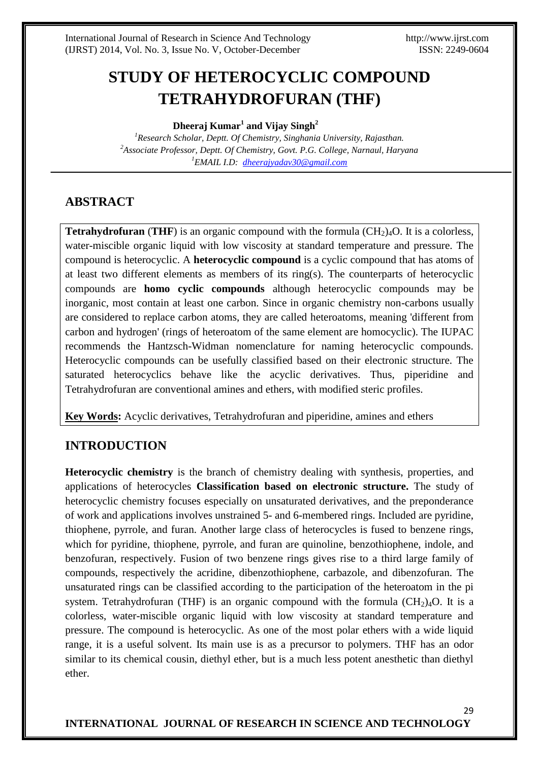# **STUDY OF HETEROCYCLIC COMPOUND TETRAHYDROFURAN (THF)**

**Dheeraj Kumar<sup>1</sup> and Vijay Singh<sup>2</sup>**

*<sup>1</sup>Research Scholar, Deptt. Of Chemistry, Singhania University, Rajasthan. <sup>2</sup>Associate Professor, Deptt. Of Chemistry, Govt. P.G. College, Narnaul, Haryana <sup>1</sup>EMAIL I.D: [dheerajyadav30@gmail.com](mailto:dheerajyadav30@gmail.com)*

# **ABSTRACT**

**Tetrahydrofuran** (THF) is an organic compound with the formula  $(CH<sub>2</sub>)<sub>4</sub>O$ . It is a colorless, water-miscible organic liquid with low viscosity at standard temperature and pressure. The compound is heterocyclic. A **heterocyclic compound** is a cyclic compound that has atoms of at least two different elements as members of its ring(s). The counterparts of heterocyclic compounds are **homo cyclic compounds** although heterocyclic compounds may be inorganic, most contain at least one carbon. Since in organic chemistry non-carbons usually are considered to replace carbon atoms, they are called heteroatoms, meaning 'different from carbon and hydrogen' (rings of heteroatom of the same element are homocyclic). The IUPAC recommends the Hantzsch-Widman nomenclature for naming heterocyclic compounds. Heterocyclic compounds can be usefully classified based on their electronic structure. The saturated heterocyclics behave like the acyclic derivatives. Thus, piperidine and Tetrahydrofuran are conventional amines and ethers, with modified steric profiles.

**Key Words:** Acyclic derivatives, Tetrahydrofuran and piperidine, amines and ethers

# **INTRODUCTION**

**Heterocyclic chemistry** is the branch of chemistry dealing with synthesis, properties, and applications of heterocycles **Classification based on electronic structure.** The study of heterocyclic chemistry focuses especially on unsaturated derivatives, and the preponderance of work and applications involves unstrained 5- and 6-membered rings. Included are pyridine, thiophene, pyrrole, and furan. Another large class of heterocycles is fused to benzene rings, which for pyridine, thiophene, pyrrole, and furan are quinoline, benzothiophene, indole, and benzofuran, respectively. Fusion of two benzene rings gives rise to a third large family of compounds, respectively the acridine, dibenzothiophene, carbazole, and dibenzofuran. The unsaturated rings can be classified according to the participation of the heteroatom in the pi system. Tetrahydrofuran (THF) is an organic compound with the formula  $(CH<sub>2</sub>)<sub>4</sub>O$ . It is a colorless, water-miscible organic liquid with low viscosity at standard temperature and pressure. The compound is heterocyclic. As one of the most polar ethers with a wide liquid range, it is a useful solvent. Its main use is as a precursor to polymers. THF has an odor similar to its chemical cousin, diethyl ether, but is a much less potent anesthetic than diethyl ether.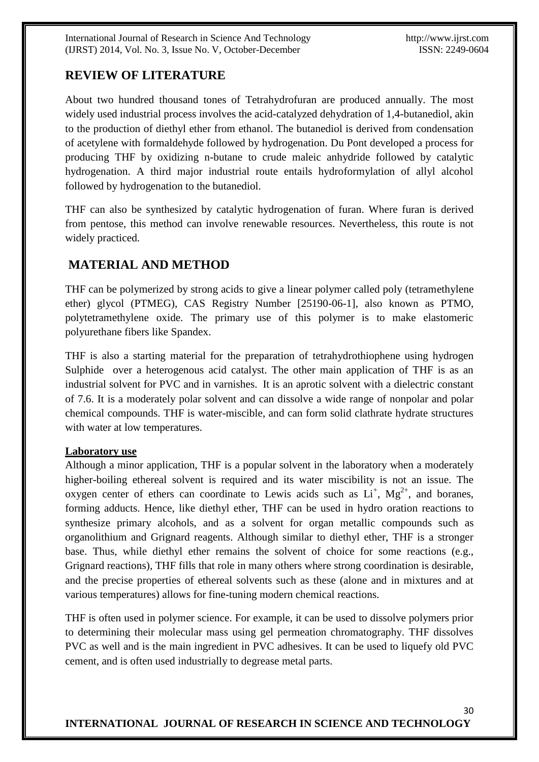International Journal of Research in Science And Technology http://www.ijrst.com (IJRST) 2014, Vol. No. 3, Issue No. V, October-December ISSN: 2249-0604

30

## **REVIEW OF LITERATURE**

About two hundred thousand tones of Tetrahydrofuran are produced annually. The most widely used industrial process involves the acid-catalyzed dehydration of 1,4-butanediol, akin to the production of diethyl ether from ethanol. The butanediol is derived from condensation of acetylene with formaldehyde followed by hydrogenation. Du Pont developed a process for producing THF by oxidizing n-butane to crude maleic anhydride followed by catalytic hydrogenation. A third major industrial route entails hydroformylation of allyl alcohol followed by hydrogenation to the butanediol.

THF can also be synthesized by catalytic hydrogenation of furan. Where furan is derived from pentose, this method can involve renewable resources. Nevertheless, this route is not widely practiced.

# **MATERIAL AND METHOD**

THF can be polymerized by strong acids to give a linear polymer called poly (tetramethylene ether) glycol (PTMEG), CAS Registry Number [25190-06-1], also known as PTMO, polytetramethylene oxide. The primary use of this polymer is to make elastomeric polyurethane fibers like Spandex.

THF is also a starting material for the preparation of tetrahydrothiophene using hydrogen Sulphide over a heterogenous acid catalyst. The other main application of THF is as an industrial solvent for PVC and in varnishes. It is an aprotic solvent with a dielectric constant of 7.6. It is a moderately polar solvent and can dissolve a wide range of nonpolar and polar chemical compounds. THF is water-miscible, and can form solid clathrate hydrate structures with water at low temperatures.

### **Laboratory use**

Although a minor application, THF is a popular solvent in the laboratory when a moderately higher-boiling ethereal solvent is required and its water miscibility is not an issue. The oxygen center of ethers can coordinate to Lewis acids such as  $Li^+$ ,  $Mg^{2+}$ , and boranes, forming adducts. Hence, like diethyl ether, THF can be used in hydro oration reactions to synthesize primary alcohols, and as a solvent for organ metallic compounds such as organolithium and Grignard reagents. Although similar to diethyl ether, THF is a stronger base. Thus, while diethyl ether remains the solvent of choice for some reactions (e.g., Grignard reactions), THF fills that role in many others where strong coordination is desirable, and the precise properties of ethereal solvents such as these (alone and in mixtures and at various temperatures) allows for fine-tuning modern chemical reactions.

THF is often used in polymer science. For example, it can be used to dissolve polymers prior to determining their molecular mass using gel permeation chromatography. THF dissolves PVC as well and is the main ingredient in PVC adhesives. It can be used to liquefy old PVC cement, and is often used industrially to degrease metal parts.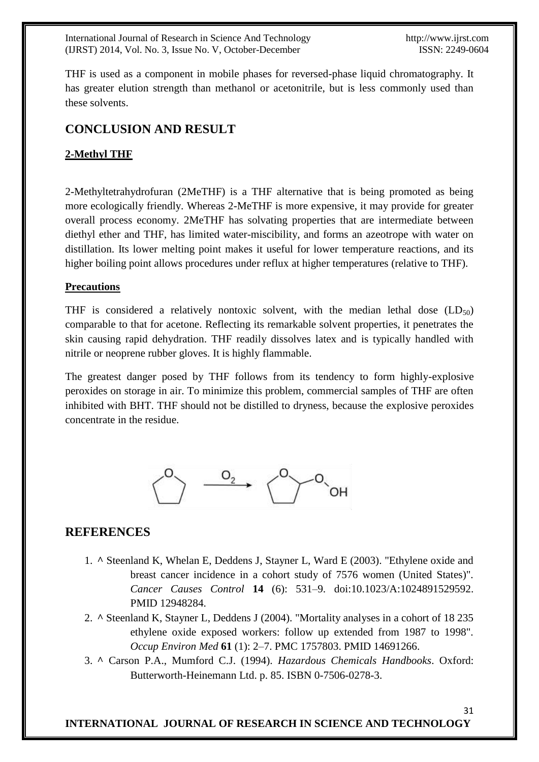International Journal of Research in Science And Technology http://www.ijrst.com (IJRST) 2014, Vol. No. 3, Issue No. V, October-December ISSN: 2249-0604

31

THF is used as a component in mobile phases for reversed-phase liquid chromatography. It has greater elution strength than methanol or acetonitrile, but is less commonly used than these solvents.

# **CONCLUSION AND RESULT**

## **2-Methyl THF**

2-Methyltetrahydrofuran (2MeTHF) is a THF alternative that is being promoted as being more ecologically friendly. Whereas 2-MeTHF is more expensive, it may provide for greater overall process economy. 2MeTHF has solvating properties that are intermediate between diethyl ether and THF, has limited water-miscibility, and forms an azeotrope with water on distillation. Its lower melting point makes it useful for lower temperature reactions, and its higher boiling point allows procedures under reflux at higher temperatures (relative to THF).

## **Precautions**

THF is considered a relatively nontoxic solvent, with the median lethal dose  $(LD_{50})$ comparable to that for acetone. Reflecting its remarkable solvent properties, it penetrates the skin causing rapid dehydration. THF readily dissolves latex and is typically handled with nitrile or neoprene rubber gloves. It is highly flammable.

The greatest danger posed by THF follows from its tendency to form highly-explosive peroxides on storage in air. To minimize this problem, commercial samples of THF are often inhibited with BHT. THF should not be distilled to dryness, because the explosive peroxides concentrate in the residue.



# **REFERENCES**

- 1. **^** Steenland K, Whelan E, Deddens J, Stayner L, Ward E (2003). "Ethylene oxide and breast cancer incidence in a cohort study of 7576 women (United States)". *Cancer Causes Control* **14** (6): 531–9. doi:10.1023/A:1024891529592. PMID 12948284.
- 2. **^** Steenland K, Stayner L, Deddens J (2004). "Mortality analyses in a cohort of 18 235 ethylene oxide exposed workers: follow up extended from 1987 to 1998". *Occup Environ Med* **61** (1): 2–7. PMC 1757803. PMID 14691266.
- 3. **^** Carson P.A., Mumford C.J. (1994). *Hazardous Chemicals Handbooks*. Oxford: Butterworth-Heinemann Ltd. p. 85. ISBN 0-7506-0278-3.

### **INTERNATIONAL JOURNAL OF RESEARCH IN SCIENCE AND TECHNOLOGY**